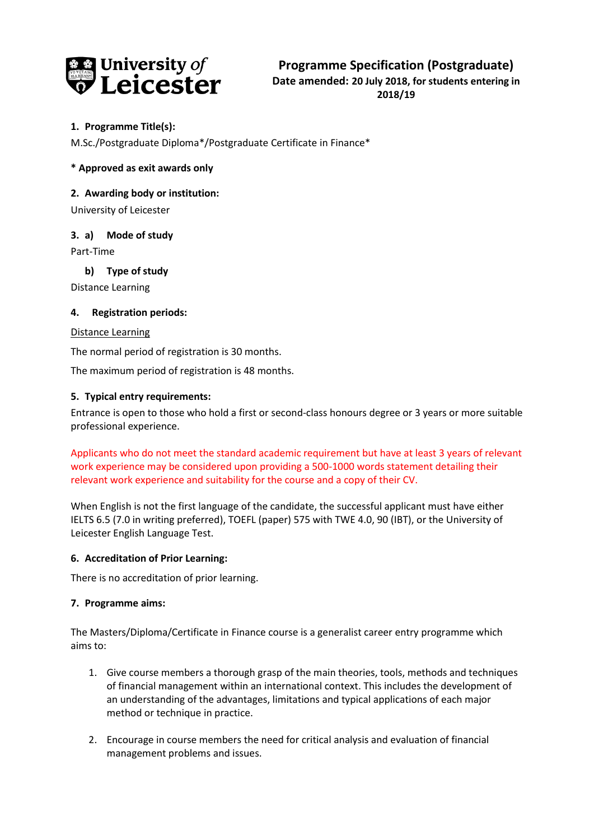

# **1. Programme Title(s):**

M.Sc./Postgraduate Diploma\*/Postgraduate Certificate in Finance\*

## **\* Approved as exit awards only**

#### **2. Awarding body or institution:**

University of Leicester

## **3. a) Mode of study**

Part-Time

## **b) Type of study**

Distance Learning

#### **4. Registration periods:**

#### Distance Learning

The normal period of registration is 30 months.

The maximum period of registration is 48 months.

## **5. Typical entry requirements:**

Entrance is open to those who hold a first or second-class honours degree or 3 years or more suitable professional experience.

Applicants who do not meet the standard academic requirement but have at least 3 years of relevant work experience may be considered upon providing a 500-1000 words statement detailing their relevant work experience and suitability for the course and a copy of their CV.

When English is not the first language of the candidate, the successful applicant must have either IELTS 6.5 (7.0 in writing preferred), TOEFL (paper) 575 with TWE 4.0, 90 (IBT), or the University of Leicester English Language Test.

#### **6. Accreditation of Prior Learning:**

There is no accreditation of prior learning.

#### **7. Programme aims:**

The Masters/Diploma/Certificate in Finance course is a generalist career entry programme which aims to:

- 1. Give course members a thorough grasp of the main theories, tools, methods and techniques of financial management within an international context. This includes the development of an understanding of the advantages, limitations and typical applications of each major method or technique in practice.
- 2. Encourage in course members the need for critical analysis and evaluation of financial management problems and issues.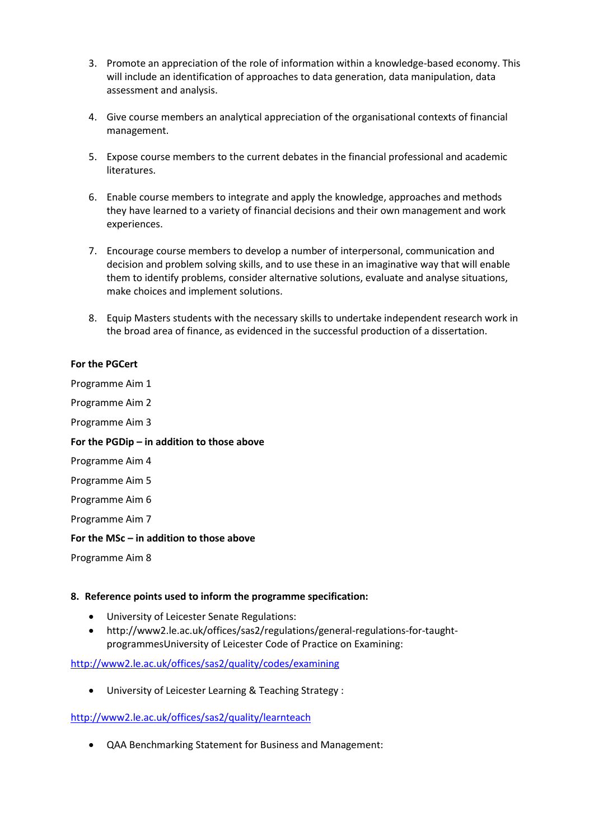- 3. Promote an appreciation of the role of information within a knowledge-based economy. This will include an identification of approaches to data generation, data manipulation, data assessment and analysis.
- 4. Give course members an analytical appreciation of the organisational contexts of financial management.
- 5. Expose course members to the current debates in the financial professional and academic literatures.
- 6. Enable course members to integrate and apply the knowledge, approaches and methods they have learned to a variety of financial decisions and their own management and work experiences.
- 7. Encourage course members to develop a number of interpersonal, communication and decision and problem solving skills, and to use these in an imaginative way that will enable them to identify problems, consider alternative solutions, evaluate and analyse situations, make choices and implement solutions.
- 8. Equip Masters students with the necessary skills to undertake independent research work in the broad area of finance, as evidenced in the successful production of a dissertation.

## **For the PGCert**

Programme Aim 1 Programme Aim 2

Programme Aim 3

#### **For the PGDip – in addition to those above**

- Programme Aim 4
- Programme Aim 5
- Programme Aim 6

Programme Aim 7

#### **For the MSc – in addition to those above**

Programme Aim 8

#### **8. Reference points used to inform the programme specification:**

- University of Leicester Senate Regulations:
- http://www2.le.ac.uk/offices/sas2/regulations/general-regulations-for-taughtprogrammesUniversity of Leicester Code of Practice on Examining:

# <http://www2.le.ac.uk/offices/sas2/quality/codes/examining>

University of Leicester Learning & Teaching Strategy :

### <http://www2.le.ac.uk/offices/sas2/quality/learnteach>

QAA Benchmarking Statement for Business and Management: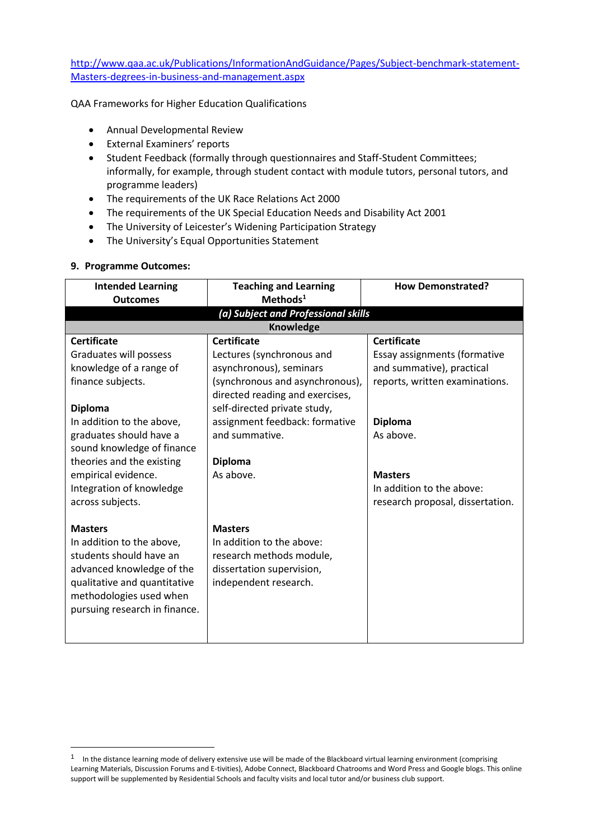[http://www.qaa.ac.uk/Publications/InformationAndGuidance/Pages/Subject-benchmark-statement-](http://www.qaa.ac.uk/Publications/InformationAndGuidance/Pages/Subject-benchmark-statement-Masters-degrees-in-business-and-management.aspx)[Masters-degrees-in-business-and-management.aspx](http://www.qaa.ac.uk/Publications/InformationAndGuidance/Pages/Subject-benchmark-statement-Masters-degrees-in-business-and-management.aspx)

QAA Frameworks for Higher Education Qualifications

- Annual Developmental Review
- External Examiners' reports
- Student Feedback (formally through questionnaires and Staff-Student Committees; informally, for example, through student contact with module tutors, personal tutors, and programme leaders)
- The requirements of the UK Race Relations Act 2000
- The requirements of the UK Special Education Needs and Disability Act 2001
- The University of Leicester's Widening Participation Strategy
- The University's Equal Opportunities Statement

#### **9. Programme Outcomes:**

 $\overline{a}$ 

| <b>Intended Learning</b><br><b>Outcomes</b>                                                                                                                                                                                                                                                              | <b>Teaching and Learning</b><br>Methods <sup>1</sup>                                                                                                                                                                                                                | <b>How Demonstrated?</b>                                                                                                                                                                                                            |  |  |
|----------------------------------------------------------------------------------------------------------------------------------------------------------------------------------------------------------------------------------------------------------------------------------------------------------|---------------------------------------------------------------------------------------------------------------------------------------------------------------------------------------------------------------------------------------------------------------------|-------------------------------------------------------------------------------------------------------------------------------------------------------------------------------------------------------------------------------------|--|--|
| (a) Subject and Professional skills                                                                                                                                                                                                                                                                      |                                                                                                                                                                                                                                                                     |                                                                                                                                                                                                                                     |  |  |
|                                                                                                                                                                                                                                                                                                          | Knowledge                                                                                                                                                                                                                                                           |                                                                                                                                                                                                                                     |  |  |
| <b>Certificate</b><br>Graduates will possess<br>knowledge of a range of<br>finance subjects.<br><b>Diploma</b><br>In addition to the above,<br>graduates should have a<br>sound knowledge of finance<br>theories and the existing<br>empirical evidence.<br>Integration of knowledge<br>across subjects. | <b>Certificate</b><br>Lectures (synchronous and<br>asynchronous), seminars<br>(synchronous and asynchronous),<br>directed reading and exercises,<br>self-directed private study,<br>assignment feedback: formative<br>and summative.<br><b>Diploma</b><br>As above. | <b>Certificate</b><br>Essay assignments (formative<br>and summative), practical<br>reports, written examinations.<br><b>Diploma</b><br>As above.<br><b>Masters</b><br>In addition to the above:<br>research proposal, dissertation. |  |  |
| <b>Masters</b><br>In addition to the above,<br>students should have an<br>advanced knowledge of the<br>qualitative and quantitative<br>methodologies used when<br>pursuing research in finance.                                                                                                          | <b>Masters</b><br>In addition to the above:<br>research methods module,<br>dissertation supervision,<br>independent research.                                                                                                                                       |                                                                                                                                                                                                                                     |  |  |

<sup>&</sup>lt;sup>1</sup> In the distance learning mode of delivery extensive use will be made of the Blackboard virtual learning environment (comprising Learning Materials, Discussion Forums and E-tivities), Adobe Connect, Blackboard Chatrooms and Word Press and Google blogs. This online support will be supplemented by Residential Schools and faculty visits and local tutor and/or business club support.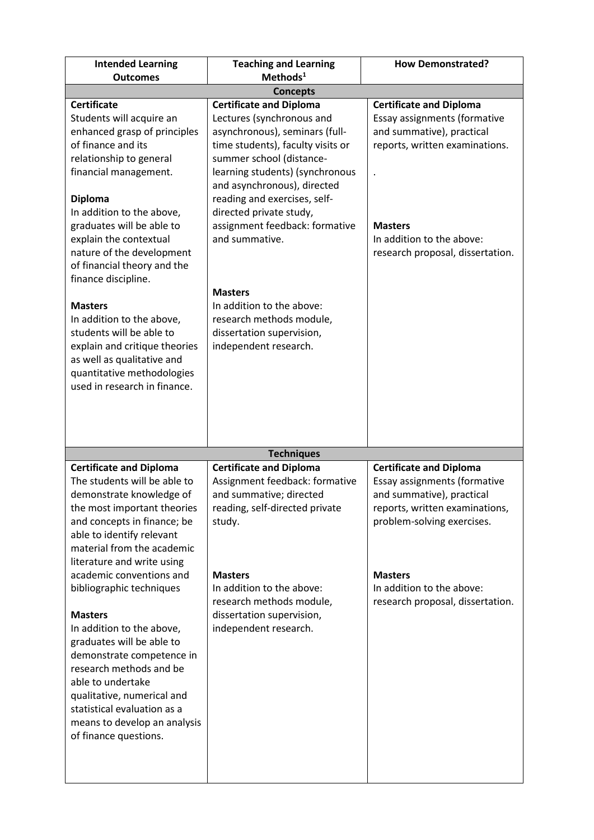| <b>Intended Learning</b>                                                                                                                                                                                                                                                                                                                                                                                                                                                                                                                                                                 | <b>Teaching and Learning</b>                                                                                                                                                                                                                                                                                                                                      | <b>How Demonstrated?</b>                                                                                                                                                                                                                       |  |  |
|------------------------------------------------------------------------------------------------------------------------------------------------------------------------------------------------------------------------------------------------------------------------------------------------------------------------------------------------------------------------------------------------------------------------------------------------------------------------------------------------------------------------------------------------------------------------------------------|-------------------------------------------------------------------------------------------------------------------------------------------------------------------------------------------------------------------------------------------------------------------------------------------------------------------------------------------------------------------|------------------------------------------------------------------------------------------------------------------------------------------------------------------------------------------------------------------------------------------------|--|--|
| <b>Outcomes</b>                                                                                                                                                                                                                                                                                                                                                                                                                                                                                                                                                                          | Methods <sup>1</sup>                                                                                                                                                                                                                                                                                                                                              |                                                                                                                                                                                                                                                |  |  |
| <b>Concepts</b>                                                                                                                                                                                                                                                                                                                                                                                                                                                                                                                                                                          |                                                                                                                                                                                                                                                                                                                                                                   |                                                                                                                                                                                                                                                |  |  |
| <b>Certificate</b><br>Students will acquire an<br>enhanced grasp of principles<br>of finance and its<br>relationship to general<br>financial management.<br><b>Diploma</b><br>In addition to the above,<br>graduates will be able to<br>explain the contextual<br>nature of the development<br>of financial theory and the<br>finance discipline.                                                                                                                                                                                                                                        | <b>Certificate and Diploma</b><br>Lectures (synchronous and<br>asynchronous), seminars (full-<br>time students), faculty visits or<br>summer school (distance-<br>learning students) (synchronous<br>and asynchronous), directed<br>reading and exercises, self-<br>directed private study,<br>assignment feedback: formative<br>and summative.<br><b>Masters</b> | <b>Certificate and Diploma</b><br>Essay assignments (formative<br>and summative), practical<br>reports, written examinations.<br><b>Masters</b><br>In addition to the above:<br>research proposal, dissertation.                               |  |  |
| <b>Masters</b><br>In addition to the above,<br>students will be able to<br>explain and critique theories<br>as well as qualitative and<br>quantitative methodologies<br>used in research in finance.                                                                                                                                                                                                                                                                                                                                                                                     | In addition to the above:<br>research methods module,<br>dissertation supervision,<br>independent research.                                                                                                                                                                                                                                                       |                                                                                                                                                                                                                                                |  |  |
|                                                                                                                                                                                                                                                                                                                                                                                                                                                                                                                                                                                          | <b>Techniques</b>                                                                                                                                                                                                                                                                                                                                                 |                                                                                                                                                                                                                                                |  |  |
| <b>Certificate and Diploma</b><br>The students will be able to<br>demonstrate knowledge of<br>the most important theories<br>and concepts in finance; be<br>able to identify relevant<br>material from the academic<br>literature and write using<br>academic conventions and<br>bibliographic techniques<br><b>Masters</b><br>In addition to the above,<br>graduates will be able to<br>demonstrate competence in<br>research methods and be<br>able to undertake<br>qualitative, numerical and<br>statistical evaluation as a<br>means to develop an analysis<br>of finance questions. | <b>Certificate and Diploma</b><br>Assignment feedback: formative<br>and summative; directed<br>reading, self-directed private<br>study.<br><b>Masters</b><br>In addition to the above:<br>research methods module,<br>dissertation supervision,<br>independent research.                                                                                          | <b>Certificate and Diploma</b><br>Essay assignments (formative<br>and summative), practical<br>reports, written examinations,<br>problem-solving exercises.<br><b>Masters</b><br>In addition to the above:<br>research proposal, dissertation. |  |  |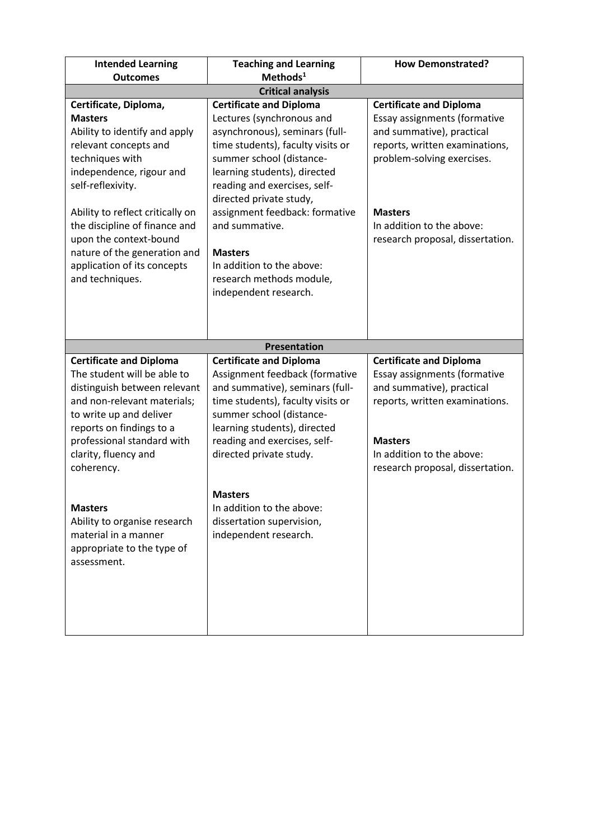| <b>Intended Learning</b><br><b>Outcomes</b>                                                                                                                                                                                                                                                                                                            | <b>Teaching and Learning</b><br>Methods <sup>1</sup>                                                                                                                                                                                                                                                                                                                                                              | <b>How Demonstrated?</b>                                                                                                                                                                                                                       |  |
|--------------------------------------------------------------------------------------------------------------------------------------------------------------------------------------------------------------------------------------------------------------------------------------------------------------------------------------------------------|-------------------------------------------------------------------------------------------------------------------------------------------------------------------------------------------------------------------------------------------------------------------------------------------------------------------------------------------------------------------------------------------------------------------|------------------------------------------------------------------------------------------------------------------------------------------------------------------------------------------------------------------------------------------------|--|
|                                                                                                                                                                                                                                                                                                                                                        | <b>Critical analysis</b>                                                                                                                                                                                                                                                                                                                                                                                          |                                                                                                                                                                                                                                                |  |
| Certificate, Diploma,<br><b>Masters</b><br>Ability to identify and apply<br>relevant concepts and<br>techniques with<br>independence, rigour and<br>self-reflexivity.<br>Ability to reflect critically on<br>the discipline of finance and<br>upon the context-bound<br>nature of the generation and<br>application of its concepts<br>and techniques. | <b>Certificate and Diploma</b><br>Lectures (synchronous and<br>asynchronous), seminars (full-<br>time students), faculty visits or<br>summer school (distance-<br>learning students), directed<br>reading and exercises, self-<br>directed private study,<br>assignment feedback: formative<br>and summative.<br><b>Masters</b><br>In addition to the above:<br>research methods module,<br>independent research. | <b>Certificate and Diploma</b><br>Essay assignments (formative<br>and summative), practical<br>reports, written examinations,<br>problem-solving exercises.<br><b>Masters</b><br>In addition to the above:<br>research proposal, dissertation. |  |
|                                                                                                                                                                                                                                                                                                                                                        |                                                                                                                                                                                                                                                                                                                                                                                                                   |                                                                                                                                                                                                                                                |  |
|                                                                                                                                                                                                                                                                                                                                                        | <b>Presentation</b>                                                                                                                                                                                                                                                                                                                                                                                               |                                                                                                                                                                                                                                                |  |
| <b>Certificate and Diploma</b><br>The student will be able to<br>distinguish between relevant<br>and non-relevant materials;<br>to write up and deliver<br>reports on findings to a                                                                                                                                                                    | <b>Certificate and Diploma</b><br>Assignment feedback (formative<br>and summative), seminars (full-<br>time students), faculty visits or<br>summer school (distance-<br>learning students), directed                                                                                                                                                                                                              | <b>Certificate and Diploma</b><br>Essay assignments (formative<br>and summative), practical<br>reports, written examinations.                                                                                                                  |  |
| professional standard with<br>clarity, fluency and<br>coherency.                                                                                                                                                                                                                                                                                       | reading and exercises, self-<br>directed private study.                                                                                                                                                                                                                                                                                                                                                           | <b>Masters</b><br>In addition to the above:<br>research proposal, dissertation.                                                                                                                                                                |  |
| <b>Masters</b><br>Ability to organise research<br>material in a manner<br>appropriate to the type of<br>assessment.                                                                                                                                                                                                                                    | <b>Masters</b><br>In addition to the above:<br>dissertation supervision,<br>independent research.                                                                                                                                                                                                                                                                                                                 |                                                                                                                                                                                                                                                |  |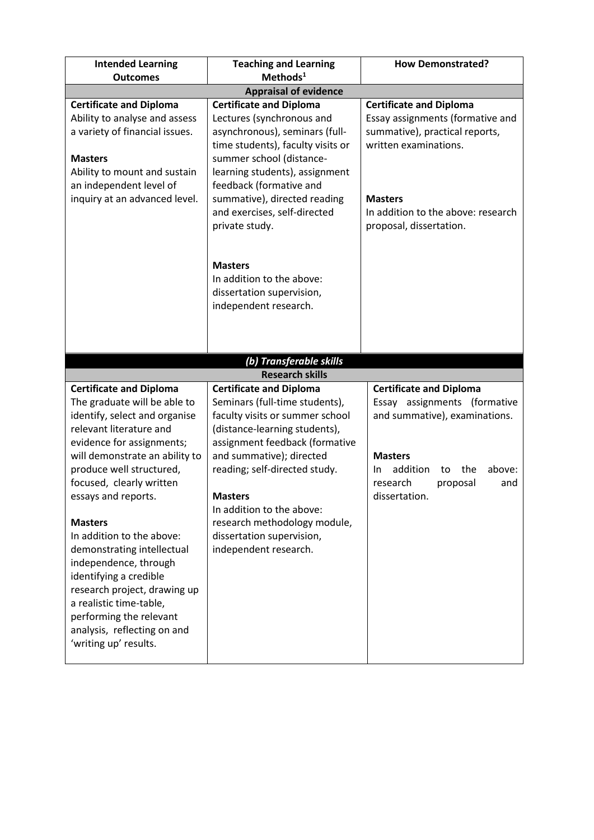| <b>Intended Learning</b>                                    | <b>Teaching and Learning</b>                                  | <b>How Demonstrated?</b>               |
|-------------------------------------------------------------|---------------------------------------------------------------|----------------------------------------|
| <b>Outcomes</b>                                             | Methods <sup>1</sup>                                          |                                        |
|                                                             | <b>Appraisal of evidence</b>                                  |                                        |
| <b>Certificate and Diploma</b>                              | <b>Certificate and Diploma</b>                                | <b>Certificate and Diploma</b>         |
| Ability to analyse and assess                               | Lectures (synchronous and                                     | Essay assignments (formative and       |
| a variety of financial issues.                              | asynchronous), seminars (full-                                | summative), practical reports,         |
| <b>Masters</b>                                              | time students), faculty visits or<br>summer school (distance- | written examinations.                  |
| Ability to mount and sustain                                | learning students), assignment                                |                                        |
| an independent level of                                     | feedback (formative and                                       |                                        |
| inquiry at an advanced level.                               | summative), directed reading                                  | <b>Masters</b>                         |
|                                                             | and exercises, self-directed                                  | In addition to the above: research     |
|                                                             | private study.                                                | proposal, dissertation.                |
|                                                             |                                                               |                                        |
|                                                             |                                                               |                                        |
|                                                             | <b>Masters</b>                                                |                                        |
|                                                             | In addition to the above:                                     |                                        |
|                                                             | dissertation supervision,<br>independent research.            |                                        |
|                                                             |                                                               |                                        |
|                                                             |                                                               |                                        |
|                                                             |                                                               |                                        |
|                                                             | (b) Transferable skills                                       |                                        |
|                                                             | <b>Research skills</b>                                        |                                        |
| <b>Certificate and Diploma</b>                              | <b>Certificate and Diploma</b>                                | <b>Certificate and Diploma</b>         |
| The graduate will be able to                                | Seminars (full-time students),                                | Essay assignments (formative           |
| identify, select and organise                               | faculty visits or summer school                               | and summative), examinations.          |
| relevant literature and                                     | (distance-learning students),                                 |                                        |
| evidence for assignments;<br>will demonstrate an ability to | assignment feedback (formative<br>and summative); directed    | <b>Masters</b>                         |
| produce well structured,                                    | reading; self-directed study.                                 | addition<br>the<br>above:<br>In.<br>to |
| focused, clearly written                                    |                                                               | research<br>proposal<br>and            |
| essays and reports.                                         | <b>Masters</b>                                                | dissertation.                          |
|                                                             | In addition to the above:                                     |                                        |
| <b>Masters</b>                                              | research methodology module,                                  |                                        |
| In addition to the above:                                   | dissertation supervision,                                     |                                        |
| demonstrating intellectual                                  | independent research.                                         |                                        |
| independence, through                                       |                                                               |                                        |
| identifying a credible                                      |                                                               |                                        |
| research project, drawing up<br>a realistic time-table,     |                                                               |                                        |
| performing the relevant                                     |                                                               |                                        |
| analysis, reflecting on and                                 |                                                               |                                        |
| 'writing up' results.                                       |                                                               |                                        |
|                                                             |                                                               |                                        |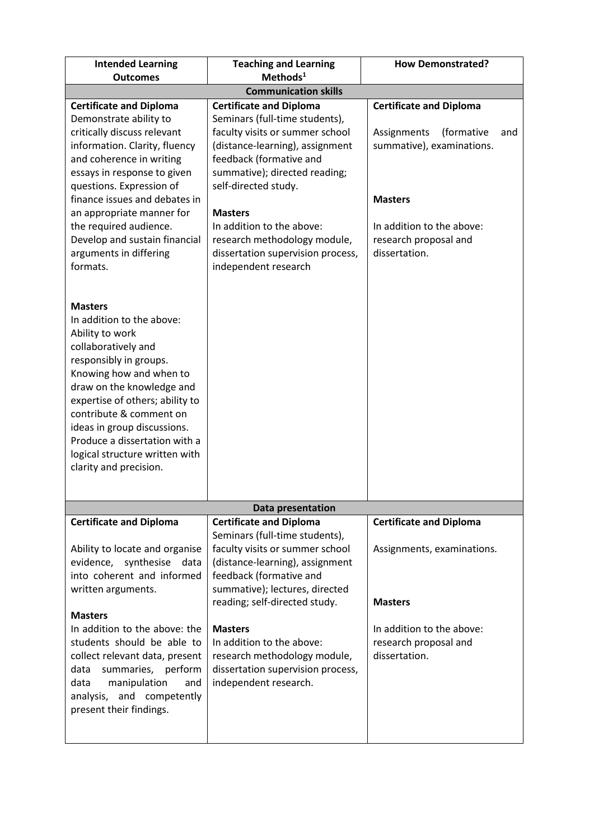| <b>Intended Learning</b><br><b>Outcomes</b>                                                                                                                                                                                                                                                                                                                       | <b>Teaching and Learning</b><br>Methods <sup>1</sup>                                                                                                                                                                                                                                                                                            | <b>How Demonstrated?</b>                                                                                                                                                                 |  |  |
|-------------------------------------------------------------------------------------------------------------------------------------------------------------------------------------------------------------------------------------------------------------------------------------------------------------------------------------------------------------------|-------------------------------------------------------------------------------------------------------------------------------------------------------------------------------------------------------------------------------------------------------------------------------------------------------------------------------------------------|------------------------------------------------------------------------------------------------------------------------------------------------------------------------------------------|--|--|
|                                                                                                                                                                                                                                                                                                                                                                   | <b>Communication skills</b>                                                                                                                                                                                                                                                                                                                     |                                                                                                                                                                                          |  |  |
| <b>Certificate and Diploma</b>                                                                                                                                                                                                                                                                                                                                    | <b>Certificate and Diploma</b>                                                                                                                                                                                                                                                                                                                  |                                                                                                                                                                                          |  |  |
| Demonstrate ability to<br>critically discuss relevant<br>information. Clarity, fluency<br>and coherence in writing<br>essays in response to given<br>questions. Expression of<br>finance issues and debates in<br>an appropriate manner for<br>the required audience.<br>Develop and sustain financial<br>arguments in differing<br>formats.                      | Seminars (full-time students),<br>faculty visits or summer school<br>(distance-learning), assignment<br>feedback (formative and<br>summative); directed reading;<br>self-directed study.<br><b>Masters</b><br>In addition to the above:<br>research methodology module,<br>dissertation supervision process,<br>independent research            | <b>Certificate and Diploma</b><br>Assignments<br>(formative<br>and<br>summative), examinations.<br><b>Masters</b><br>In addition to the above:<br>research proposal and<br>dissertation. |  |  |
| <b>Masters</b><br>In addition to the above:<br>Ability to work<br>collaboratively and<br>responsibly in groups.<br>Knowing how and when to<br>draw on the knowledge and<br>expertise of others; ability to<br>contribute & comment on<br>ideas in group discussions.<br>Produce a dissertation with a<br>logical structure written with<br>clarity and precision. |                                                                                                                                                                                                                                                                                                                                                 |                                                                                                                                                                                          |  |  |
|                                                                                                                                                                                                                                                                                                                                                                   | Data presentation                                                                                                                                                                                                                                                                                                                               |                                                                                                                                                                                          |  |  |
| <b>Certificate and Diploma</b>                                                                                                                                                                                                                                                                                                                                    | <b>Certificate and Diploma</b>                                                                                                                                                                                                                                                                                                                  | <b>Certificate and Diploma</b>                                                                                                                                                           |  |  |
| Ability to locate and organise<br>evidence, synthesise data<br>into coherent and informed<br>written arguments.<br><b>Masters</b><br>In addition to the above: the<br>students should be able to<br>collect relevant data, present<br>summaries, perform<br>data<br>manipulation<br>data<br>and<br>analysis, and competently<br>present their findings.           | Seminars (full-time students),<br>faculty visits or summer school<br>(distance-learning), assignment<br>feedback (formative and<br>summative); lectures, directed<br>reading; self-directed study.<br><b>Masters</b><br>In addition to the above:<br>research methodology module,<br>dissertation supervision process,<br>independent research. | Assignments, examinations.<br><b>Masters</b><br>In addition to the above:<br>research proposal and<br>dissertation.                                                                      |  |  |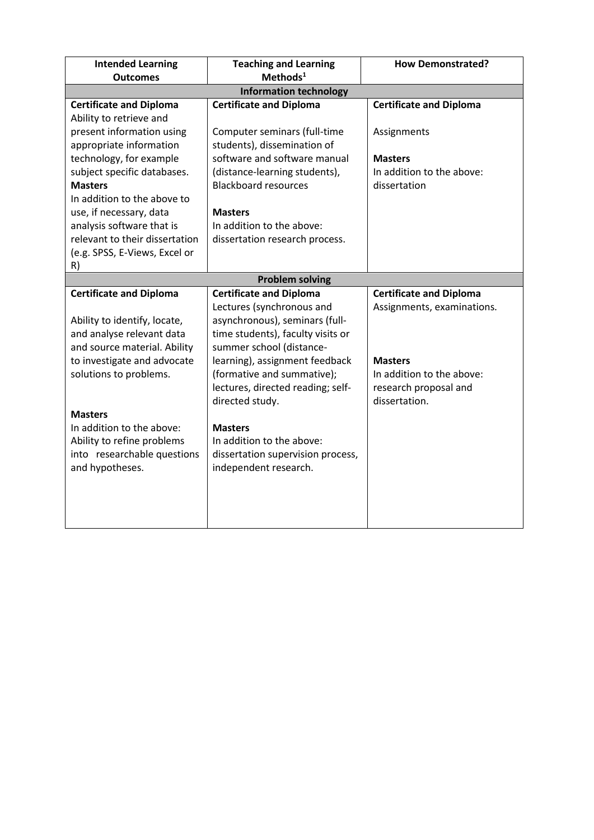| <b>Intended Learning</b>       | <b>Teaching and Learning</b>      | <b>How Demonstrated?</b>       |
|--------------------------------|-----------------------------------|--------------------------------|
| <b>Outcomes</b>                | $Methods1$                        |                                |
|                                | <b>Information technology</b>     |                                |
| <b>Certificate and Diploma</b> | <b>Certificate and Diploma</b>    | <b>Certificate and Diploma</b> |
| Ability to retrieve and        |                                   |                                |
| present information using      | Computer seminars (full-time      | Assignments                    |
| appropriate information        | students), dissemination of       |                                |
| technology, for example        | software and software manual      | <b>Masters</b>                 |
| subject specific databases.    | (distance-learning students),     | In addition to the above:      |
| <b>Masters</b>                 | <b>Blackboard resources</b>       | dissertation                   |
| In addition to the above to    |                                   |                                |
| use, if necessary, data        | <b>Masters</b>                    |                                |
| analysis software that is      | In addition to the above:         |                                |
| relevant to their dissertation | dissertation research process.    |                                |
| (e.g. SPSS, E-Views, Excel or  |                                   |                                |
| R)                             |                                   |                                |
|                                | <b>Problem solving</b>            |                                |
| <b>Certificate and Diploma</b> | <b>Certificate and Diploma</b>    | <b>Certificate and Diploma</b> |
|                                | Lectures (synchronous and         | Assignments, examinations.     |
| Ability to identify, locate,   | asynchronous), seminars (full-    |                                |
| and analyse relevant data      | time students), faculty visits or |                                |
| and source material. Ability   | summer school (distance-          |                                |
| to investigate and advocate    | learning), assignment feedback    | <b>Masters</b>                 |
| solutions to problems.         | (formative and summative);        | In addition to the above:      |
|                                | lectures, directed reading; self- | research proposal and          |
|                                | directed study.                   | dissertation.                  |
| <b>Masters</b>                 |                                   |                                |
| In addition to the above:      | <b>Masters</b>                    |                                |
| Ability to refine problems     | In addition to the above:         |                                |
| into researchable questions    | dissertation supervision process, |                                |
| and hypotheses.                | independent research.             |                                |
|                                |                                   |                                |
|                                |                                   |                                |
|                                |                                   |                                |
|                                |                                   |                                |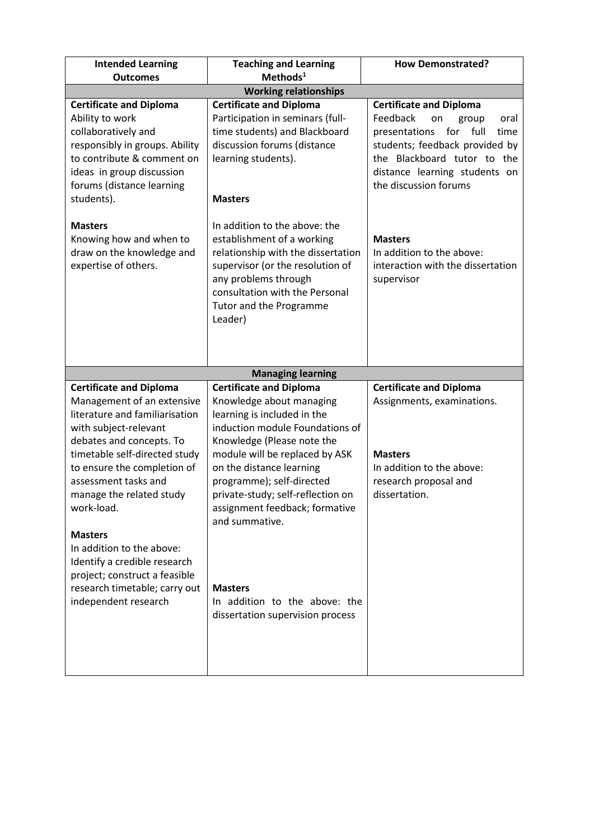| <b>Teaching and Learning</b><br>Methods <sup>1</sup>                                                                                                                                                                                                                                                                                                                                                                                                              | <b>How Demonstrated?</b>                                                                                                                                                                                                                                                                                                               |  |  |  |
|-------------------------------------------------------------------------------------------------------------------------------------------------------------------------------------------------------------------------------------------------------------------------------------------------------------------------------------------------------------------------------------------------------------------------------------------------------------------|----------------------------------------------------------------------------------------------------------------------------------------------------------------------------------------------------------------------------------------------------------------------------------------------------------------------------------------|--|--|--|
|                                                                                                                                                                                                                                                                                                                                                                                                                                                                   |                                                                                                                                                                                                                                                                                                                                        |  |  |  |
| <b>Certificate and Diploma</b><br>Participation in seminars (full-<br>time students) and Blackboard<br>discussion forums (distance<br>learning students).<br><b>Masters</b><br>In addition to the above: the<br>establishment of a working<br>relationship with the dissertation<br>supervisor (or the resolution of<br>any problems through<br>consultation with the Personal<br>Tutor and the Programme<br>Leader)                                              | <b>Certificate and Diploma</b><br>Feedback<br>on<br>group<br>oral<br>for<br>full<br>presentations<br>time<br>students; feedback provided by<br>the Blackboard tutor to the<br>distance learning students on<br>the discussion forums<br><b>Masters</b><br>In addition to the above:<br>interaction with the dissertation<br>supervisor |  |  |  |
| <b>Managing learning</b><br><b>Certificate and Diploma</b><br>Knowledge about managing<br>learning is included in the<br>induction module Foundations of<br>Knowledge (Please note the<br>module will be replaced by ASK<br>on the distance learning<br>programme); self-directed<br>private-study; self-reflection on<br>assignment feedback; formative<br>and summative.<br><b>Masters</b><br>In addition to the above: the<br>dissertation supervision process | <b>Certificate and Diploma</b><br>Assignments, examinations.<br><b>Masters</b><br>In addition to the above:<br>research proposal and<br>dissertation.                                                                                                                                                                                  |  |  |  |
|                                                                                                                                                                                                                                                                                                                                                                                                                                                                   | <b>Working relationships</b>                                                                                                                                                                                                                                                                                                           |  |  |  |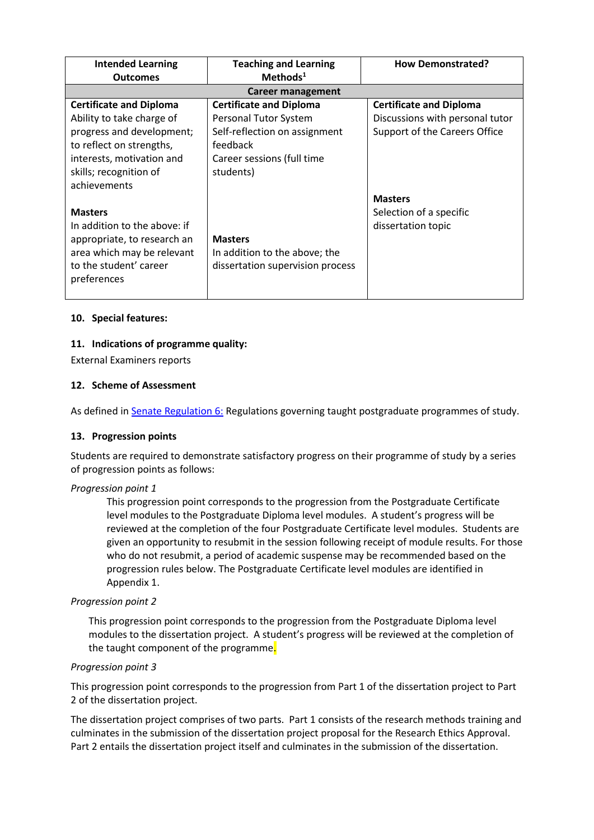| <b>Intended Learning</b>       | <b>Teaching and Learning</b>     | <b>How Demonstrated?</b>        |
|--------------------------------|----------------------------------|---------------------------------|
| <b>Outcomes</b>                | Methods <sup>1</sup>             |                                 |
|                                | Career management                |                                 |
| <b>Certificate and Diploma</b> | <b>Certificate and Diploma</b>   | <b>Certificate and Diploma</b>  |
| Ability to take charge of      | Personal Tutor System            | Discussions with personal tutor |
| progress and development;      | Self-reflection on assignment    | Support of the Careers Office   |
| to reflect on strengths,       | feedback                         |                                 |
| interests, motivation and      | Career sessions (full time       |                                 |
| skills; recognition of         | students)                        |                                 |
| achievements                   |                                  |                                 |
|                                |                                  | <b>Masters</b>                  |
| <b>Masters</b>                 |                                  | Selection of a specific         |
| In addition to the above: if   |                                  | dissertation topic              |
| appropriate, to research an    | <b>Masters</b>                   |                                 |
| area which may be relevant     | In addition to the above; the    |                                 |
| to the student' career         | dissertation supervision process |                                 |
| preferences                    |                                  |                                 |
|                                |                                  |                                 |

## **10. Special features:**

## **11. Indications of programme quality:**

External Examiners reports

## **12. Scheme of Assessment**

As defined i[n Senate Regulation 6:](http://www.le.ac.uk/senate-regulation6) Regulations governing taught postgraduate programmes of study.

#### **13. Progression points**

Students are required to demonstrate satisfactory progress on their programme of study by a series of progression points as follows:

#### *Progression point 1*

This progression point corresponds to the progression from the Postgraduate Certificate level modules to the Postgraduate Diploma level modules. A student's progress will be reviewed at the completion of the four Postgraduate Certificate level modules. Students are given an opportunity to resubmit in the session following receipt of module results. For those who do not resubmit, a period of academic suspense may be recommended based on the progression rules below. The Postgraduate Certificate level modules are identified in Appendix 1.

#### *Progression point 2*

This progression point corresponds to the progression from the Postgraduate Diploma level modules to the dissertation project. A student's progress will be reviewed at the completion of the taught component of the programme.

#### *Progression point 3*

This progression point corresponds to the progression from Part 1 of the dissertation project to Part 2 of the dissertation project.

The dissertation project comprises of two parts. Part 1 consists of the research methods training and culminates in the submission of the dissertation project proposal for the Research Ethics Approval. Part 2 entails the dissertation project itself and culminates in the submission of the dissertation.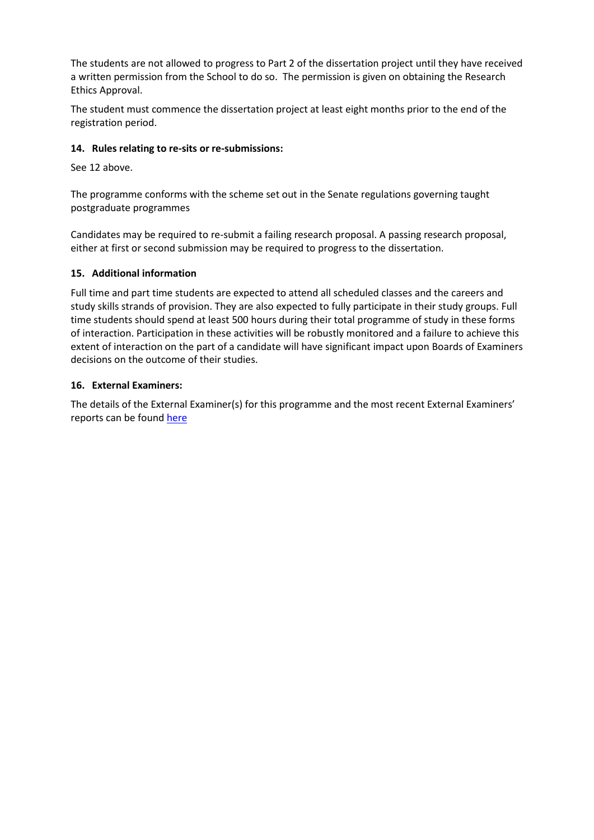The students are not allowed to progress to Part 2 of the dissertation project until they have received a written permission from the School to do so. The permission is given on obtaining the Research Ethics Approval.

The student must commence the dissertation project at least eight months prior to the end of the registration period.

# **14. Rules relating to re-sits or re-submissions:**

See 12 above.

The programme conforms with the scheme set out in the Senate regulations governing taught postgraduate programmes

Candidates may be required to re-submit a failing research proposal. A passing research proposal, either at first or second submission may be required to progress to the dissertation.

## **15. Additional information**

Full time and part time students are expected to attend all scheduled classes and the careers and study skills strands of provision. They are also expected to fully participate in their study groups. Full time students should spend at least 500 hours during their total programme of study in these forms of interaction. Participation in these activities will be robustly monitored and a failure to achieve this extent of interaction on the part of a candidate will have significant impact upon Boards of Examiners decisions on the outcome of their studies.

## **16. External Examiners:**

The details of the External Examiner(s) for this programme and the most recent External Examiners' reports can be found [here](https://exampapers.le.ac.uk/xmlui/handle/123456789/168)